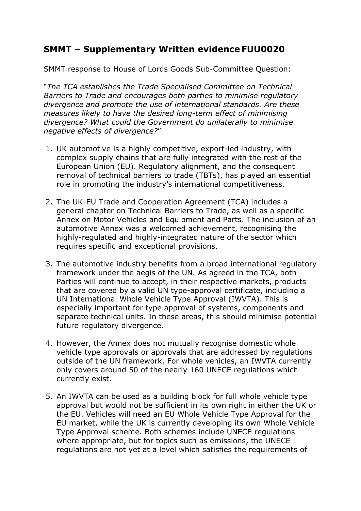## **SMMT – Supplementary Written evidence FUU0020**

SMMT response to House of Lords Goods Sub-Committee Question:

"*The TCA establishes the Trade Specialised Committee on Technical Barriers to Trade and encourages both parties to minimise regulatory divergence and promote the use of international standards. Are these measures likely to have the desired long-term effect of minimising divergence? What could the Government do unilaterally to minimise negative effects of divergence?*"

- 1. UK automotive is a highly competitive, export-led industry, with complex supply chains that are fully integrated with the rest of the European Union (EU). Regulatory alignment, and the consequent removal of technical barriers to trade (TBTs), has played an essential role in promoting the industry's international competitiveness.
- 2. The UK-EU Trade and Cooperation Agreement (TCA) includes a general chapter on Technical Barriers to Trade, as well as a specific Annex on Motor Vehicles and Equipment and Parts. The inclusion of an automotive Annex was a welcomed achievement, recognising the highly-regulated and highly-integrated nature of the sector which requires specific and exceptional provisions.
- 3. The automotive industry benefits from a broad international regulatory framework under the aegis of the UN. As agreed in the TCA, both Parties will continue to accept, in their respective markets, products that are covered by a valid UN type-approval certificate, including a UN International Whole Vehicle Type Approval (IWVTA). This is especially important for type approval of systems, components and separate technical units. In these areas, this should minimise potential future regulatory divergence.
- 4. However, the Annex does not mutually recognise domestic whole vehicle type approvals or approvals that are addressed by regulations outside of the UN framework. For whole vehicles, an IWVTA currently only covers around 50 of the nearly 160 UNECE regulations which currently exist.
- 5. An IWVTA can be used as a building block for full whole vehicle type approval but would not be sufficient in its own right in either the UK or the EU. Vehicles will need an EU Whole Vehicle Type Approval for the EU market, while the UK is currently developing its own Whole Vehicle Type Approval scheme. Both schemes include UNECE regulations where appropriate, but for topics such as emissions, the UNECE regulations are not yet at a level which satisfies the requirements of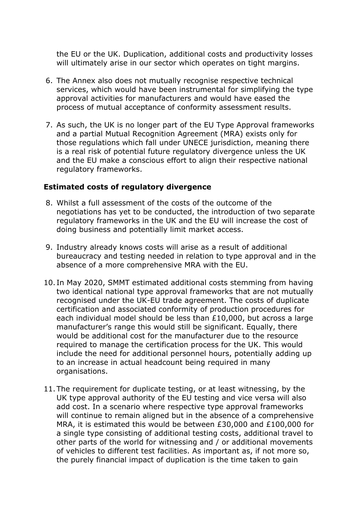the EU or the UK. Duplication, additional costs and productivity losses will ultimately arise in our sector which operates on tight margins.

- 6. The Annex also does not mutually recognise respective technical services, which would have been instrumental for simplifying the type approval activities for manufacturers and would have eased the process of mutual acceptance of conformity assessment results.
- 7. As such, the UK is no longer part of the EU Type Approval frameworks and a partial Mutual Recognition Agreement (MRA) exists only for those regulations which fall under UNECE jurisdiction, meaning there is a real risk of potential future regulatory divergence unless the UK and the EU make a conscious effort to align their respective national regulatory frameworks.

## **Estimated costs of regulatory divergence**

- 8. Whilst a full assessment of the costs of the outcome of the negotiations has yet to be conducted, the introduction of two separate regulatory frameworks in the UK and the EU will increase the cost of doing business and potentially limit market access.
- 9. Industry already knows costs will arise as a result of additional bureaucracy and testing needed in relation to type approval and in the absence of a more comprehensive MRA with the EU.
- 10. In May 2020, SMMT estimated additional costs stemming from having two identical national type approval frameworks that are not mutually recognised under the UK-EU trade agreement. The costs of duplicate certification and associated conformity of production procedures for each individual model should be less than £10,000, but across a large manufacturer's range this would still be significant. Equally, there would be additional cost for the manufacturer due to the resource required to manage the certification process for the UK. This would include the need for additional personnel hours, potentially adding up to an increase in actual headcount being required in many organisations.
- 11. The requirement for duplicate testing, or at least witnessing, by the UK type approval authority of the EU testing and vice versa will also add cost. In a scenario where respective type approval frameworks will continue to remain aligned but in the absence of a comprehensive MRA, it is estimated this would be between £30,000 and £100,000 for a single type consisting of additional testing costs, additional travel to other parts of the world for witnessing and / or additional movements of vehicles to different test facilities. As important as, if not more so, the purely financial impact of duplication is the time taken to gain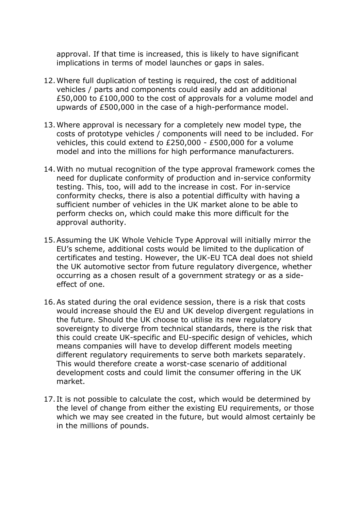approval. If that time is increased, this is likely to have significant implications in terms of model launches or gaps in sales.

- 12.Where full duplication of testing is required, the cost of additional vehicles / parts and components could easily add an additional £50,000 to £100,000 to the cost of approvals for a volume model and upwards of £500,000 in the case of a high-performance model.
- 13.Where approval is necessary for a completely new model type, the costs of prototype vehicles / components will need to be included. For vehicles, this could extend to £250,000 - £500,000 for a volume model and into the millions for high performance manufacturers.
- 14.With no mutual recognition of the type approval framework comes the need for duplicate conformity of production and in-service conformity testing. This, too, will add to the increase in cost. For in-service conformity checks, there is also a potential difficulty with having a sufficient number of vehicles in the UK market alone to be able to perform checks on, which could make this more difficult for the approval authority.
- 15.Assuming the UK Whole Vehicle Type Approval will initially mirror the EU's scheme, additional costs would be limited to the duplication of certificates and testing. However, the UK-EU TCA deal does not shield the UK automotive sector from future regulatory divergence, whether occurring as a chosen result of a government strategy or as a sideeffect of one.
- 16.As stated during the oral evidence session, there is a risk that costs would increase should the EU and UK develop divergent regulations in the future. Should the UK choose to utilise its new regulatory sovereignty to diverge from technical standards, there is the risk that this could create UK-specific and EU-specific design of vehicles, which means companies will have to develop different models meeting different regulatory requirements to serve both markets separately. This would therefore create a worst-case scenario of additional development costs and could limit the consumer offering in the UK market.
- 17. It is not possible to calculate the cost, which would be determined by the level of change from either the existing EU requirements, or those which we may see created in the future, but would almost certainly be in the millions of pounds.